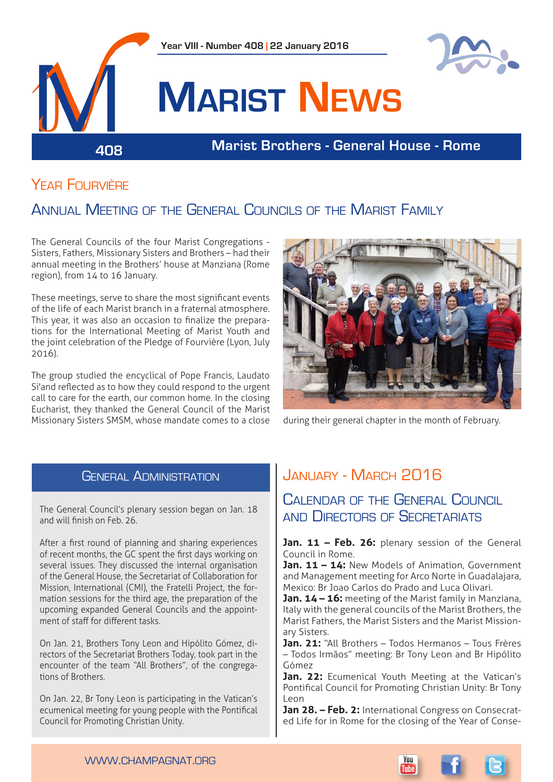

# YFAR FOURVIÈRE

# Annual Meeting of the General Councils of the Marist Family

The General Councils of the four Marist Congregations - Sisters, Fathers, Missionary Sisters and Brothers – had their annual meeting in the Brothers' house at Manziana (Rome region), from 14 to 16 January.

These meetings, serve to share the most significant events of the life of each Marist branch in a fraternal atmosphere. This year, it was also an occasion to finalize the preparations for the International Meeting of Marist Youth and the joint celebration of the Pledge of Fourvière (Lyon, July 2016).

The group studied the encyclical of Pope Francis, Laudato Si'and reflected as to how they could respond to the urgent call to care for the earth, our common home. In the closing Eucharist, they thanked the General Council of the Marist Missionary Sisters SMSM, whose mandate comes to a close during their general chapter in the month of February.



## **GENERAL ADMINISTRATION**

The General Council's plenary session began on Jan. 18 and will finish on Feb. 26.

After a first round of planning and sharing experiences of recent months, the GC spent the first days working on several issues. They discussed the internal organisation of the General House, the Secretariat of Collaboration for Mission, International (CMI), the Fratelli Project, the formation sessions for the third age, the preparation of the upcoming expanded General Councils and the appointment of staff for different tasks.

On Jan. 21, Brothers Tony Leon and Hipólito Gómez, directors of the Secretariat Brothers Today, took part in the encounter of the team "All Brothers", of the congregations of Brothers.

On Jan. 22, Br Tony Leon is participating in the Vatican's ecumenical meeting for young people with the Pontifical Council for Promoting Christian Unity.

# January - March 2016

Calendar of the General Council and DIRECTORS OF SECRETARIATS

Jan. 11 - Feb. 26: plenary session of the General Council in Rome.

Jan. 11 - 14: New Models of Animation, Government and Management meeting for Arco Norte in Guadalajara, Mexico: Br Joao Carlos do Prado and Luca Olivari.

**Jan. 14 – 16:** meeting of the Marist family in Manziana, Italy with the general councils of the Marist Brothers, the Marist Fathers, the Marist Sisters and the Marist Missionary Sisters.

**Jan. 21:** "All Brothers – Todos Hermanos – Tous Frères – Todos Irmãos" meeting: Br Tony Leon and Br Hipólito Gómez

Jan. 22: Ecumenical Youth Meeting at the Vatican's Pontifical Council for Promoting Christian Unity: Br Tony Leon

**Jan 28. – Feb. 2:** International Congress on Consecrated Life for in Rome for the closing of the Year of Conse-

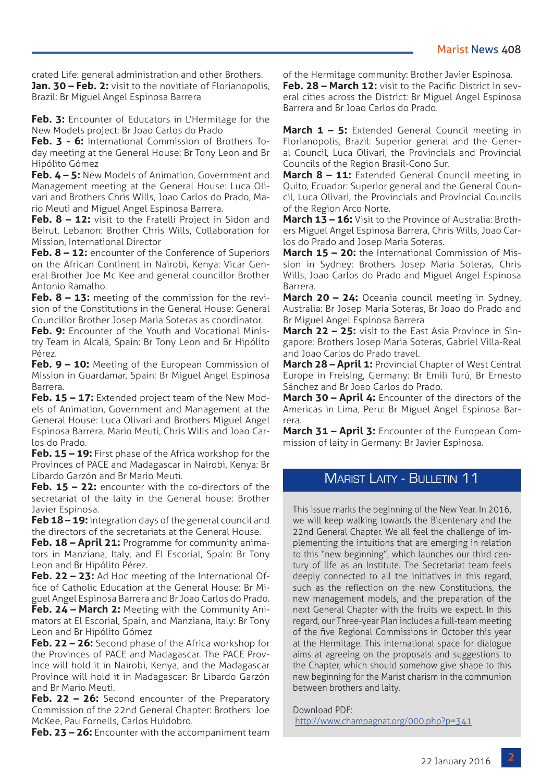crated Life: general administration and other Brothers. **Jan. 30 – Feb. 2:** visit to the novitiate of Florianopolis, Brazil: Br Miguel Angel Espinosa Barrera

**Feb. 3:** Encounter of Educators in L'Hermitage for the New Models project: Br Joao Carlos do Prado

**Feb. 3 - 6:** International Commission of Brothers Today meeting at the General House: Br Tony Leon and Br Hipólito Gómez

**Feb. 4 – 5:** New Models of Animation, Government and Management meeting at the General House: Luca Olivari and Brothers Chris Wills, Joao Carlos do Prado, Mario Meuti and Miguel Angel Espinosa Barrera.

**Feb. 8 – 12:** visit to the Fratelli Project in Sidon and Beirut, Lebanon: Brother Chris Wills, Collaboration for Mission, International Director

**Feb. 8 – 12:** encounter of the Conference of Superiors on the African Continent in Nairobi, Kenya: Vicar General Brother Joe Mc Kee and general councillor Brother Antonio Ramalho.

Feb. 8 - 13: meeting of the commission for the revision of the Constitutions in the General House: General Councillor Brother Josep Maria Soteras as coordinator.

**Feb. 9:** Encounter of the Youth and Vocational Ministry Team in Alcalá, Spain: Br Tony Leon and Br Hipólito Pérez.

**Feb. 9 – 10:** Meeting of the European Commission of Mission in Guardamar, Spain: Br Miguel Angel Espinosa Barrera.

**Feb. 15 – 17:** Extended project team of the New Models of Animation, Government and Management at the General House: Luca Olivari and Brothers Miguel Angel Espinosa Barrera, Mario Meuti, Chris Wills and Joao Carlos do Prado.

**Feb. 15 – 19:** First phase of the Africa workshop for the Provinces of PACE and Madagascar in Nairobi, Kenya: Br Libardo Garzón and Br Mario Meuti.

Feb. 15 - 22: encounter with the co-directors of the secretariat of the laity in the General house: Brother Javier Espinosa.

**Feb 18 – 19:** integration days of the general council and the directors of the secretariats at the General House.

**Feb. 18 – April 21:** Programme for community animators in Manziana, Italy, and El Escorial, Spain: Br Tony Leon and Br Hipólito Pérez.

**Feb. 22 – 23:** Ad Hoc meeting of the International Office of Catholic Education at the General House: Br Miguel Angel Espinosa Barrera and Br Joao Carlos do Prado.

**Feb. 24 – March 2:** Meeting with the Community Animators at El Escorial, Spain, and Manziana, Italy: Br Tony Leon and Br Hipólito Gómez

**Feb. 22 – 26:** Second phase of the Africa workshop for the Provinces of PACE and Madagascar. The PACE Province will hold it in Nairobi, Kenya, and the Madagascar Province will hold it in Madagascar: Br Libardo Garzón and Br Mario Meuti.

Feb. 22 - 26: Second encounter of the Preparatory Commission of the 22nd General Chapter: Brothers Joe McKee, Pau Fornells, Carlos Huidobro.

**Feb. 23 – 26:** Encounter with the accompaniment team

of the Hermitage community: Brother Javier Espinosa. **Feb. 28 – March 12:** visit to the Pacific District in sev-

eral cities across the District: Br Miguel Angel Espinosa Barrera and Br Joao Carlos do Prado.

**March 1 – 5:** Extended General Council meeting in Florianopolis, Brazil: Superior general and the General Council, Luca Olivari, the Provincials and Provincial Councils of the Region Brasil-Cono Sur.

**March 8 – 11:** Extended General Council meeting in Quito, Ecuador: Superior general and the General Council, Luca Olivari, the Provincials and Provincial Councils of the Region Arco Norte.

**March 13 – 16:** Visit to the Province of Australia: Brothers Miguel Angel Espinosa Barrera, Chris Wills, Joao Carlos do Prado and Josep Maria Soteras.

**March 15 – 20:** the International Commission of Mission in Sydney: Brothers Josep Maria Soteras, Chris Wills, Joao Carlos do Prado and Miguel Angel Espinosa Barrera.

**March 20 – 24:** Oceania council meeting in Sydney, Australia: Br Josep Maria Soteras, Br Joao do Prado and Br Miguel Angel Espinosa Barrera

**March 22 – 25:** visit to the East Asia Province in Singapore: Brothers Josep Maria Soteras, Gabriel Villa-Real and Joao Carlos do Prado travel.

**March 28 – April 1:** Provincial Chapter of West Central Europe in Freising, Germany: Br Emili Turú, Br Ernesto Sánchez and Br Joao Carlos do Prado.

**March 30 – April 4:** Encounter of the directors of the Americas in Lima, Peru: Br Miguel Angel Espinosa Barrera.

**March 31 – April 3:** Encounter of the European Commission of laity in Germany: Br Javier Espinosa.

### Marist Laity - Bulletin 11

This issue marks the beginning of the New Year. In 2016, we will keep walking towards the Bicentenary and the 22nd General Chapter. We all feel the challenge of implementing the intuitions that are emerging in relation to this "new beginning", which launches our third century of life as an Institute. The Secretariat team feels deeply connected to all the initiatives in this regard, such as the reflection on the new Constitutions, the new management models, and the preparation of the next General Chapter with the fruits we expect. In this regard, our Three-year Plan includes a full-team meeting of the five Regional Commissions in October this year at the Hermitage. This international space for dialogue aims at agreeing on the proposals and suggestions to the Chapter, which should somehow give shape to this new beginning for the Marist charism in the communion between brothers and laity.

Download PDF: <http://www.champagnat.org/000.php?p=341>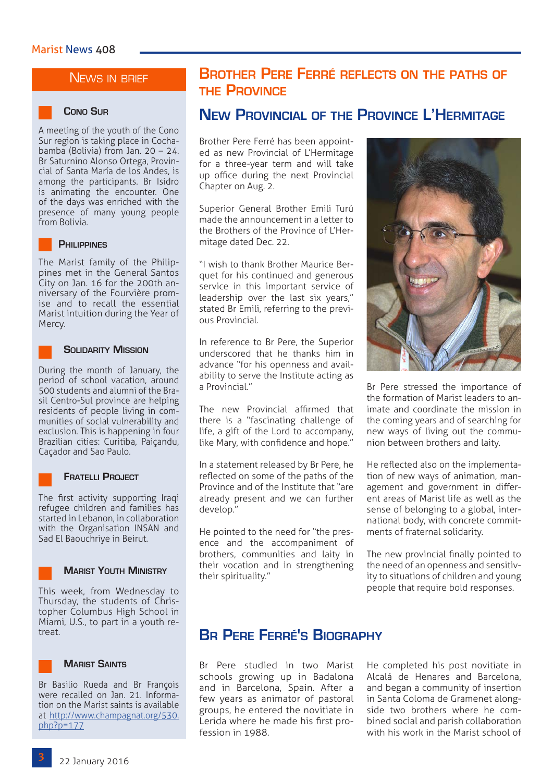### NEWS IN BRIEF

A meeting of the youth of the Cono Sur region is taking place in Cochabamba (Bolivia) from Jan. 20 – 24. Br Saturnino Alonso Ortega, Provincial of Santa María de los Andes, is among the participants. Br Isidro is animating the encounter. One of the days was enriched with the presence of many young people from Bolivia.

#### **Philippines**

The Marist family of the Philippines met in the General Santos City on Jan. 16 for the 200th anniversary of the Fourvière promise and to recall the essential Marist intuition during the Year of Mercy.

#### **Solidarity Mission**

During the month of January, the period of school vacation, around 500 students and alumni of the Brasil Centro-Sul province are helping residents of people living in communities of social vulnerability and exclusion. This is happening in four Brazilian cities: Curitiba, Paiçandu, Caçador and Sao Paulo.

#### **Fratelli Project**

The first activity supporting Iraqi refugee children and families has started in Lebanon, in collaboration with the Organisation INSAN and Sad El Baouchriye in Beirut.



#### **Marist Youth Ministry**

This week, from Wednesday to Thursday, the students of Christopher Columbus High School in Miami, U.S., to part in a youth retreat.

### **Marist Saints**

Br Basilio Rueda and Br François were recalled on Jan. 21. Information on the Marist saints is available at [http://www.champagnat.org/530.](http://www.champagnat.org/530.php?p=177) [php?p=177](http://www.champagnat.org/530.php?p=177)

# **Brother Pere Ferré reflects on the paths of the Province**

# **New Provincial of the Province L'Hermitage Cono Sur**

Brother Pere Ferré has been appointed as new Provincial of L'Hermitage for a three-year term and will take up office during the next Provincial Chapter on Aug. 2.

Superior General Brother Emili Turú made the announcement in a letter to the Brothers of the Province of L'Hermitage dated Dec. 22.

"I wish to thank Brother Maurice Berquet for his continued and generous service in this important service of leadership over the last six years," stated Br Emili, referring to the previous Provincial.

In reference to Br Pere, the Superior underscored that he thanks him in advance "for his openness and availability to serve the Institute acting as a Provincial."

The new Provincial affirmed that there is a "fascinating challenge of life, a gift of the Lord to accompany, like Mary, with confidence and hope."

In a statement released by Br Pere, he reflected on some of the paths of the Province and of the Institute that "are already present and we can further develop."

He pointed to the need for "the presence and the accompaniment of brothers, communities and laity in their vocation and in strengthening their spirituality."



Br Pere stressed the importance of the formation of Marist leaders to animate and coordinate the mission in the coming years and of searching for new ways of living out the communion between brothers and laity.

He reflected also on the implementation of new ways of animation, management and government in different areas of Marist life as well as the sense of belonging to a global, international body, with concrete commitments of fraternal solidarity.

The new provincial finally pointed to the need of an openness and sensitivity to situations of children and young people that require bold responses.

### **Br Pere Ferré's Biography**

Br Pere studied in two Marist schools growing up in Badalona and in Barcelona, Spain. After a few years as animator of pastoral groups, he entered the novitiate in Lerida where he made his first profession in 1988.

He completed his post novitiate in Alcalá de Henares and Barcelona, and began a community of insertion in Santa Coloma de Gramenet alongside two brothers where he combined social and parish collaboration with his work in the Marist school of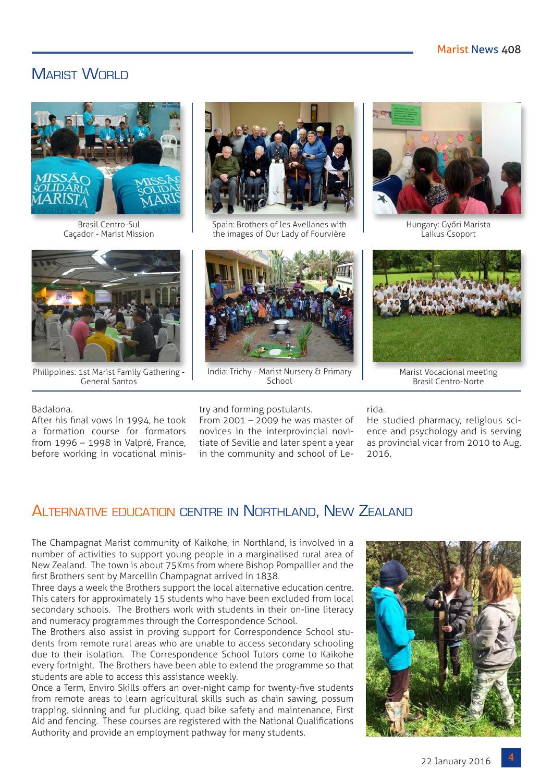# MARIST WORLD



Brasil Centro-Sul Caçador - Marist Mission



Philippines: 1st Marist Family Gathering - General Santos



Spain: Brothers of les Avellanes with the images of Our Lady of Fourvière



India: Trichy - Marist Nursery & Primary School



Hungary: Győri Marista Laikus Csoport



Marist Vocacional meeting Brasil Centro-Norte

#### Badalona.

After his final vows in 1994, he took a formation course for formators from 1996 – 1998 in Valpré, France, before working in vocational minis-

#### try and forming postulants.

From 2001 – 2009 he was master of novices in the interprovincial novitiate of Seville and later spent a year in the community and school of Lerida.

He studied pharmacy, religious science and psychology and is serving as provincial vicar from 2010 to Aug. 2016.

### Alternative education centre in Northland, New Zealand

The Champagnat Marist community of Kaikohe, in Northland, is involved in a number of activities to support young people in a marginalised rural area of New Zealand. The town is about 75Kms from where Bishop Pompallier and the first Brothers sent by Marcellin Champagnat arrived in 1838.

Three days a week the Brothers support the local alternative education centre. This caters for approximately 15 students who have been excluded from local secondary schools. The Brothers work with students in their on-line literacy and numeracy programmes through the Correspondence School.

The Brothers also assist in proving support for Correspondence School students from remote rural areas who are unable to access secondary schooling due to their isolation. The Correspondence School Tutors come to Kaikohe every fortnight. The Brothers have been able to extend the programme so that students are able to access this assistance weekly.

Once a Term, Enviro Skills offers an over-night camp for twenty-five students from remote areas to learn agricultural skills such as chain sawing, possum trapping, skinning and fur plucking, quad bike safety and maintenance, First Aid and fencing. These courses are registered with the National Qualifications Authority and provide an employment pathway for many students.

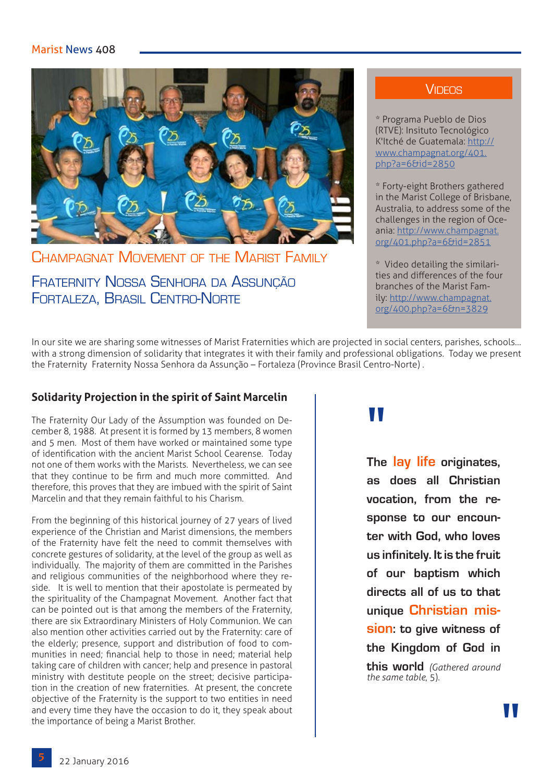### Marist News 408



Champagnat Movement of the Marist Family

Fraternity Nossa Senhora da Assunção Fortaleza, Brasil Centro-Norte

### **VIDEOS**

\* Programa Pueblo de Dios (RTVE): Insituto Tecnológico K'Itché de Guatemala: [http://](http://www.champagnat.org/401.php?a=6&id=2850) [www.champagnat.org/401.](http://www.champagnat.org/401.php?a=6&id=2850) [php?a=6&id=2850](http://www.champagnat.org/401.php?a=6&id=2850)

\* Forty-eight Brothers gathered in the Marist College of Brisbane, Australia, to address some of the challenges in the region of Oceania: [http://www.champagnat.](http://www.champagnat.org/401.php?a=6&id=2851 ) [org/401.php?a=6&id=2851](http://www.champagnat.org/401.php?a=6&id=2851 )

\* Video detailing the similarities and differences of the four branches of the Marist Family: [http://www.champagnat.](http://www.champagnat.org/400.php?a=6&n=3829) [org/400.php?a=6&n=3829](http://www.champagnat.org/400.php?a=6&n=3829)

In our site we are sharing some witnesses of Marist Fraternities which are projected in social centers, parishes, schools… with a strong dimension of solidarity that integrates it with their family and professional obligations. Today we present the Fraternity Fraternity Nossa Senhora da Assunção – Fortaleza (Province Brasil Centro-Norte) .

### **Solidarity Projection in the spirit of Saint Marcelin**

The Fraternity Our Lady of the Assumption was founded on December 8, 1988. At present it is formed by 13 members, 8 women and 5 men. Most of them have worked or maintained some type of identification with the ancient Marist School Cearense. Today not one of them works with the Marists. Nevertheless, we can see that they continue to be firm and much more committed. And therefore, this proves that they are imbued with the spirit of Saint Marcelin and that they remain faithful to his Charism.

From the beginning of this historical journey of 27 years of lived experience of the Christian and Marist dimensions, the members of the Fraternity have felt the need to commit themselves with concrete gestures of solidarity, at the level of the group as well as individually. The majority of them are committed in the Parishes and religious communities of the neighborhood where they reside. It is well to mention that their apostolate is permeated by the spirituality of the Champagnat Movement. Another fact that can be pointed out is that among the members of the Fraternity, there are six Extraordinary Ministers of Holy Communion. We can also mention other activities carried out by the Fraternity: care of the elderly; presence, support and distribution of food to communities in need; financial help to those in need; material help taking care of children with cancer; help and presence in pastoral ministry with destitute people on the street; decisive participation in the creation of new fraternities. At present, the concrete objective of the Fraternity is the support to two entities in need and every time they have the occasion to do it, they speak about the importance of being a Marist Brother.

# "

**The lay life originates, as does all Christian vocation, from the response to our encounter with God, who loves us infinitely. It is the fruit of our baptism which directs all of us to that unique Christian mission: to give witness of the Kingdom of God in this world** *(Gathered around the same table*, 5).

**"**